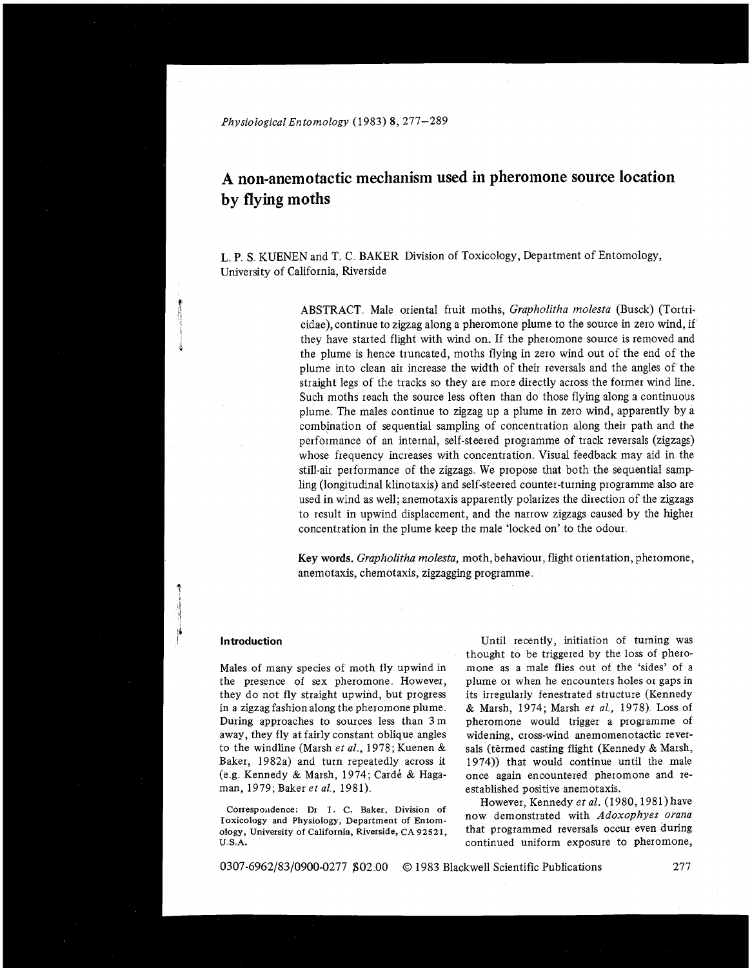*Physiological Entomology* (1983) *8,* 277-289

# **A non-anemotactic mechanism used in pheromone source location by flying moths**

L, P, S. KUENEN and T. C, BAKER Division of Toxicology, Department of Entomology, University of California, Riverside

> ABSTRACT. Male oriental fruit moths, *Grapholitha molesta* (Busck) (Tortricidae), continue to zigzag along a pheromone plume to the source in zero wind, if they have started flight with wind on. If the pheromone source is removed and the plume is hence truncated, moths flying in zero wind out of the end of the plume into clean air increase the width of their reversals and the angles of the straight legs of the tracks so they are more directly across the former wind line. Such moths reach the source less often than do those flying along a continuous plume The males continue to zigzag up a plume in zero wind, apparently by a combination of sequential sampling of concentration along their path and the performance of an internal, self-steered progiamme of track reversals (zigzags) whose frequency increases with concentration. Visual feedback may aid in the still-air performance of the zigzags We propose that both the sequential sampling (longitudinal klinotaxis) and self-steered counter-turning programme also are used in wind as well; anemotaxis apparently polarizes the direction of the zigzags to result in upwind displacement, and the narrow zigzags caused by the higher concentration in the plume keep the male 'locked on' to the odour.

> **Key words.** *Grapholitha molesta,* moth, behaviour, flight orientation, pheromone, anemotaxis, chemotaxis, zigzagging programme,.

#### **Introduction**

**it** 

Males of many species of moth fly upwind in the presence of sex pheromone. However, they do not fly straight upwind, but progress in a zigzag fashion along the pheromone plume During approaches to sources less than 3 m away, they fly at fairly constant oblique angles to the windline (Marsh et al., 1978; Kuenen & Baker, 1982a) and turn repeatedly across it (e.g. Kennedy & Marsh, 1974; Cardé & Haga**man,** 1979; Baker *et a1* , 1981)

Correspondence: Dr I. C. Baker, Division of **Toxicology and Physiology, Department of Entomology, University of California, Riverside, CA 92521, U S.A.** 

Until recently, initiation of turning was thought to be triggered by the loss of pheromone as a male flies out of the 'sides' of a plume or when he encounters holes 01 gaps in its irregularly fenestrated structure (Kennedy & Marsh, 1974; Marsh *et al,* 1978) Loss of pheromone would trigger a programme of widening, cross-wind anemomenotactic reversals (termed casting flight (Kennedy & Marsh, 1974)) that would continue until the male once again encountered pheromone and reestablished positive anemotaxis.

However, Kennedy *et al.* (1980,1981) have now demonstrated with *Adoxophyes orana*  that programmed reversals occur even during continued uniform exposure to pheromone,

0307-6962/83/0900-0277 \$02.00 @ 1983 Blackwell Scientific Publications

277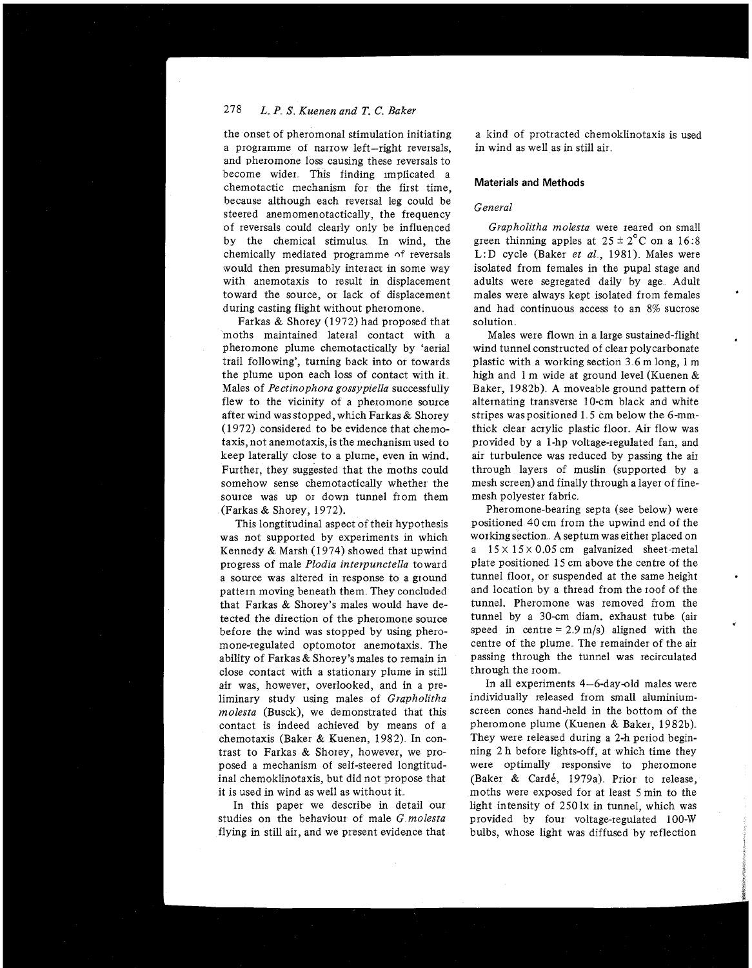## 278 *L. P S., Kuenen and T.* C. *Baker*

the onset of pheromonal stimulation initiating a programme ot narrow left-right reversals, and pheromone loss causing these reversals to become wider This finding implicated a chemotactic mechanism for the first time, because although each reversal leg could be steered anemomenotactically, the frequency of reversals could clearly only be influenced by the chemical stimulus. In wind, the chemically mediated programme of reversals would then presumably interact in some way with anemotaxis to result in displacement toward the source, 01 lack of displacement during casting flight without pheromone.

Farkas & Shorey (1972) had proposed that moths maintained lateral contact with a pheromone plume chemotactically by 'aerial trail following', turning back into or towards the plume upon each loss of contact with it Males of *Pectinophora gossypiella* successfully flew to the vicinity of a pheromone source after wind wasstopped, which Farkas& Shorey (1972) considered to be evidence that chemotaxis, not anemotaxis, is the mechanism used to keep laterally close to a plume, even in wind. Further, they suggested that the moths could somehow sense chemotactically whether the source was up or down tunnel from them (Farkas & Shorey, 1972).

This longtitudinal aspect of their hypothesis was not supported by experiments in which Kennedy & Marsh  $(1974)$  showed that upwind progress of male *Plodza interpunctella* toward a source was altered in response to a ground pattern moving beneath them They concluded that Farkas & Shorey's males would have detected the direction of the pheromone source before the wind was stopped by using pheromone-regulated optomotor anemotaxis The ability of Farkas & Shorey's males to remain in close contact with a stationary plume in still air was, however, overlooked, and in a preliminary study using males of *Grapholitha rnolesta* (Busck), we demonstrated that this contact is indeed achieved by means of a chemotaxis (Baker & Kuenen, 1982) In contrast to Farkas & Shorey, however, we proposed a mechanism of self-steered longtitudinal chemoklinotaxis, but did not propose that it is used in wind as well as without it

In this paper we describe in detail our studies on the behaviour of male *G molesta* flying in still air, and we present evidence that a kind of protracted chemoklinotaxis is used in wind as well as in still air

#### **Materials and Methods**

## *General*

Grapholitha molesta were reared on small green thinning apples at  $25 \pm 2^{\circ}$ C on a 16:8 L:D cycle (Baker et al., 1981). Males were isolated from females in the pupal stage and adults were segregated daily by age Adult males were always kept isolated from females and had continuous access to an 8% sucrose solution

Males were flown in a large sustained-flight wind tunnel constructed of clear polycarbonate plastic with a working section 3 6 m long, 1 m high and 1 m wide at ground level (Kuenen & Baker, 1982b) **A** moveable ground pattern of alternating transverse 10-cm black and white stripes waspositioned 1 5 cm below the 6-mmthick clear acrylic plastic floor. Air flow was provided by a 1-hp voltage-regulated fan, and air turbulence was reduced by passing the air through layers of muslin (supported by a mesh screen) and finally through a layer of finemesh polyester fabric

Pheromone-bearing septa (see below) were positioned 40 cm from the upwind end of the working section **A** septum was either placed on a  $15 \times 15 \times 0.05$  cm galvanized sheet metal plate positioned 15 cm above the centre of the tunnel floor, or suspended at the same height and location by a thread from the roof of the tunnel. Pheromone was removed from the tunnel by a 30-cm diam. exhaust tube (air speed in centre =  $2.9 \text{ m/s}$  aligned with the centre of the plume. The remainder of the air passing through the tunnel was recirculated through the room.

In all experiments 4-6-day-old males were individually released from small aluminiumscreen cones hand-held in the bottom of the pheromone plume (Kuenen & Baker, 1982b) They were released during a 2-h period beginning 2 h before lights-off, at which time they were optimally responsive to pheromone (Baker & Cardé, 1979a). Prior to release, moths were exposed for at least 5 min to the light intensity of 250 lx in tunnel, which was provided by four voltage-regulated 100-W bulbs, whose light was diffused by reflection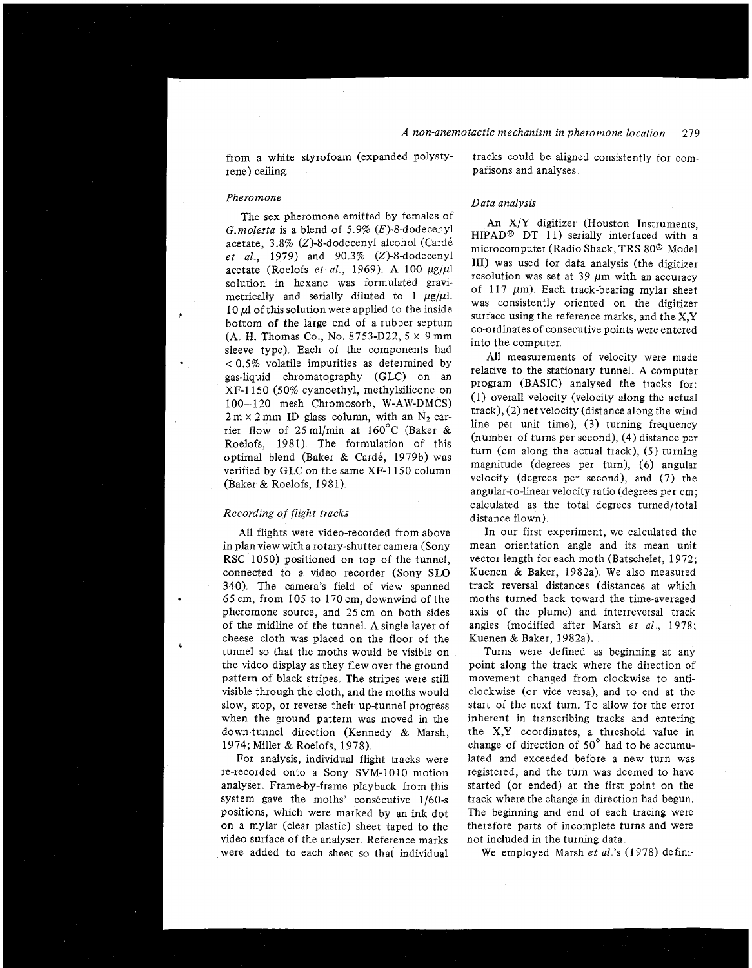from a white styrofoam (expanded polystyrene) ceiling.

#### *Pheromone*

The sex pheromone emitted by females of  $G$  *molesta* is a blend of 5.9%  $(E)$ -8-dodecenyl acetate, 3 8% (2)-8-dodecenyl alcohol (Card6 et al., 1979) and 90.3% (Z)-8-dodecenyl acetate (Roelofs *et al.*, 1969). A 100  $\mu$ g/ $\mu$ l solution in hexane was formulated gravimetrically and serially diluted to 1  $\mu$ g/ $\mu$ l. 10  $\mu$ l of this solution were applied to the inside bottom of the large end of a rubber septum (A. H. Thomas Co., No. 8753-D22,  $5 \times 9$  mm sleeve type). Each of the components had < 0.5% volatile impurities as determined by gas-liquid chromatography (GLC) on an XF-1150 (50% cyanoethyl, methylsilicone on 100-1 20 mesh Chromosorb, W-AW-DMCS)  $2 m \times 2 mm$  ID glass column, with an  $N_2$  carrier flow of  $25 \text{ ml/min}$  at  $160^{\circ}$ C (Baker & Roelofs, 1981). The formulation of this optimal blend (Baker & Cardé, 1979b) was verified by GLC on the same XF-1150 column (Baker & Roelofs, 1981).

### *Recording of flight tracks*

All flights were video-recorded from above in planview with a rotary-shutter camera (Sony RSC 1050) positioned on top of the tunnel, connected to a video recorder (Sony SLO 340) The camera's field of view spanned 65 cm, from 105 to 170 cm, downwind of the pheromone source, and 25 cm on both sides of the midline of the tunnel A single layer of cheese cloth was placed on the floor of the tunnel so that the moths would be visible on the video display as they flew over the ground pattern of black stripes The stripes were still visible through the cloth, and the moths would slow, stop, or reverse their up-tunnel progress when the ground pattern was moved in the down tunnel direction (Kennedy & Marsh, 1974; Miller & Roelofs, 1978)

For analysis, individual flight tracks were re-recorded onto a Sony SVM-1010 motion analyser. Frame-by-frame playback from this system gave the moths' consecutive  $1/60-s$ positions, which were marked by an ink dot on a mylar (clear plastic) sheet taped to the video surface of the analyser. Reference marks were added to each sheet so that individual

tracks could be aligned consistently for comparisons and analyses.

#### *Data analysis*

An X/Y digitizer (Houston Instruments, HIPAD@ DT 11) serially interfaced with a microcomputer (Radio Shack, TRS 80@ Model 111) was used for data analysis (the digitizer resolution was set at 39  $\mu$ m with an accuracy of 117  $\mu$ m). Each track-bearing mylar sheet was consistently oriented on the digitizer surface using the reference marks, and the X,Y co-ordinates of consecutive points were entered into the computer

All measurements of velocity were made relative to the stationary tunnel A computer program (BASIC) analysed the tracks for: (1) overall velocity (velocity along the actual track), (2) net velocity (distance along the wind line per unit time), (3) turning frequency (number of turns per second), (4) distance per turn (cm along the actual track), (5) turning magnitude (degrees per turn), (6) angular velocity (degrees per second), and (7) the angular-to-linear velocity ratio (degrees per cm; calculated as the total degrees turned/total distance flown).

In our first experiment, we calculated the mean orientation angle and its mean unit vector length for each moth (Batschelet, 1972; Kuenen & Baker, 1982a) We also measured track reversal distances (distances at which moths turned back toward the time-averaged axis of the plume) and interreversal track angles (modified after Marsh *et al.*, 1978; Kuenen & Baker, 1982a).

Turns were defined as beginning at any point along the track where the direction of movement changed from clockwise to anticlockwise (or vice versa), and to end at the start of the next turn. To allow for the error inherent in transcribing tracks and entering the X,Y coordinates, a threshold value in change of direction of  $50^{\circ}$  had to be accumulated and exceeded before a new turn was registered, and the turn was deemed to have started (or ended) at the first point on the track where the change in direction had begun. The beginning and end of each tracing were therefore parts of incomplete turns and were not included in the turning data

We employed Marsh *et a1* 's (1978) defini-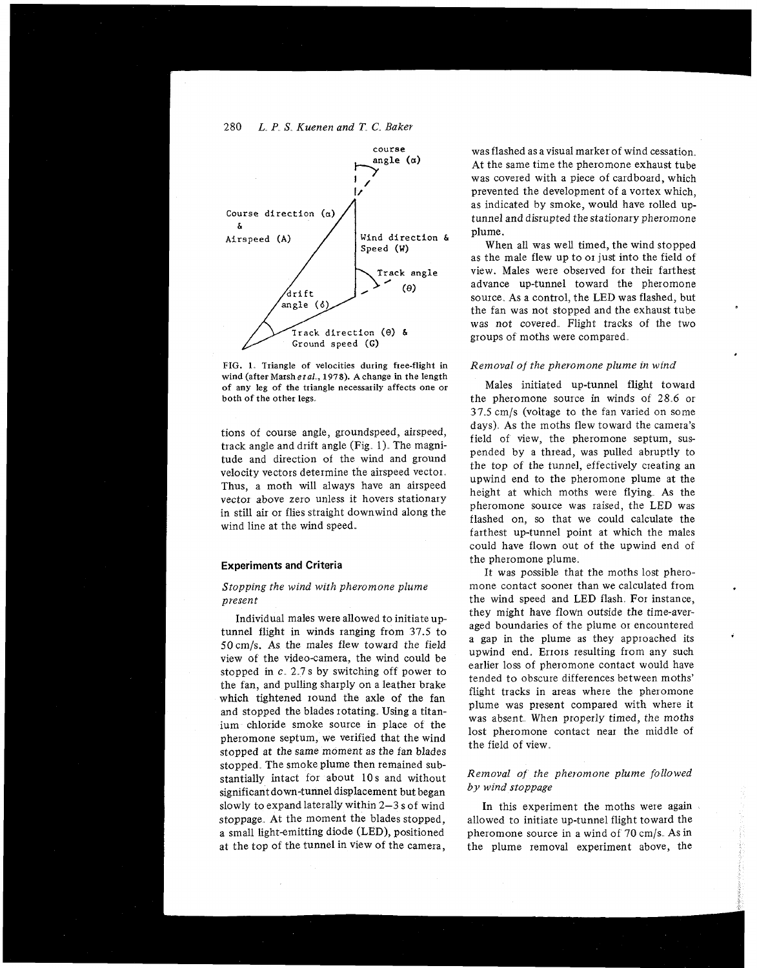

FIG. 1. Triangle of velocities during free-flight in wind (after Marsh et al., 1978). A change in the length of any leg of the triangle necessarily affects one or both of the other legs

tions of course angle, groundspeed, airspeed, track angle and drift angle (Fig. 1). The magnitude and direction of the wind and ground velocity vectors determine the airspeed vector Thus, a moth will always have an airspeed vector above zero unless it hovers stationary in still air or flies straight downwind along the wind line at the wind speed.

## **Experiments and Criteria**

## *Stopping the wind with pheromone plume present*

Individual males weie allowed to initiate uptunnel flight in winds ranging from 37.5 to 50 cm/s. As the males flew toward the field view of the video-camera, the wind could be stopped in  $c$ . 2.7 s by switching off power to the fan, and pulling sharply on a leather brake which tightened round the axle of the fan and stopped the blades rotating. Using a titanium chloride smoke source in place of the pheromone septum, we verified that the wind stopped at the same moment as the fan blades stopped. The smoke plume then remained substantially intact for about 10 s and without significant down-tunnel displacement but began slowly to expand laterally within 2-3 s of wind stoppage. At the moment the blades stopped, a small light-emitting diode (LED), positioned at the top of the tunnel in view of the camera,

was flashed as a visual marker of wind cessation At the same time the pheromone exhaust tube was covered with a piece of cardboard, which prevented the development of a vortex which, as indicated by smoke, would have rolled uptunnel and disrupted the stationary pheromone plume.

When all was well timed, the wind stopped as the male flew up to or just into the field of view. Males were observed for their farthest advance up-tunnel toward the pheromone source. As a control, the LED was flashed, but the fan was not stopped and the exhaust tube was not covered. Flight tracks of the two groups of moths were compared

#### *Removal of the pheromone plume in wind*

Males initiated up-tunnel flight toward the pheromone source in winds of 28 6 or 37 *5* cm/s (voltage to the fan varied on some days). As the moths flew toward the camera's field of view, the pheromone septum, suspended by a thread, was pulled abruptly to the top of the tunnel, effectively creating an upwind end to the pheromone plume at the height at which moths were flying As the pheromone source was raised, the LED was flashed on, so that we could calculate the farthest up-tunnel point at which the males could have flown out of the upwind end of the pheromone plume

It was possible that the moths lost pheromone contact sooner than we calculated from the wind speed and LED flash. For instance, they might have flown outside the time-averaged boundaries of the plume or encountered a gap in the plume as they approached its upwind end. Errors resulting from any such earlier loss of pheromone contact would have tended to obscure differences between moths' flight tracks in areas where the pheromone plume was present compared with where it was absent. When properly timed, the moths lost pheromone contact near the middle of the field of view

## *Removal of the pheromone plume followed by wind stoppage*

In this experiment the moths were again allowed to initiate up-tunnel flight toward the pheromone source in a wind of 70 cm/s As in the plume removal experiment above, the

280 *L. P S Kuenen and* **T** C. *Baker*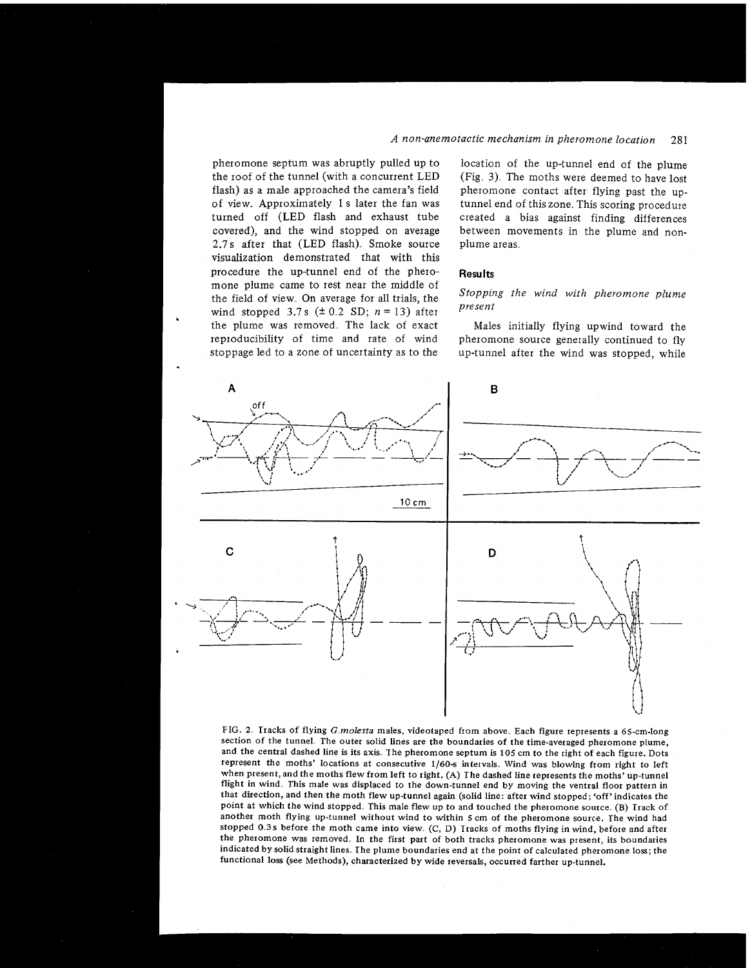## *A non-anemotactic mechanism in pheromone location* 281

pheromone septum was abruptly pulled up to the roof of the tunnel (with a concurrent LED flash) as a male approached the camera's field of view Approximately 1 s later the fan was turned off (LED flash and exhaust tube covered), and the wind stopped on average 2.7s after that (LED flash). Smoke source visualization demonstrated that with this procedure the up-tunnel end of the pheromone plume came to rest near the middle of the field of view. On average for all trials, the wind stopped 3.7 s  $(\pm 0.2 \text{ SD}; n = 13)$  after the plume was removed. The lack of exact reproducibility of time and rate of wind stoppage led to a zone of uncertainty as to the

location of the up-tunnel end of the plume  $(Fig. 3)$ . The moths were deemed to have lost pheromone contact after flying past the uptunnel end of this zone. This scoring procedure created a bias against finding differences between movements in the plume and nonplume areas

#### **Resu Its**

## *Stopping the wind with pheromone plume present*

Males initially flying upwind toward the pheromone source generally continued to fly up-tunnel after the wind was stopped, while



FIG **2** Tracks of flying **G** *molesta* males, videotaped from above Each figure represents a 65-cm-long section of the tunnel. The outer solid lines are the boundaries of the time-averaged pheromone plume, and the central dashed line is its axis. The pheromone septum is 105 cm to the right of each figure. Dots represent the moths' locations at consecutive 1160-s intervals. Wind was blowing from right to left when present, and the moths flew from left to right. (A) I he dashed line represents the moths<sup>7</sup> up-tunnel flight in wind. This male was displaced to the down-tunnel end by moving the ventral floor pattern in that direction, and then the moth flew up-tunnel again (solid line: after wind stopped; 'off' indicates the point at which the wind stopped. This male flew up to and touched the pheromone source. (B) Track of another moth flying up-tunnel without wind to within **5** cm of the pheromone source. The wind had stopped 0.3s before the moth came into view. (C, D) Tracks of moths flying in wind, before and after the pheromone was removed. In the first part of both tracks pheromone was present, its boundaries indicated by solid straight lines. The plume boundaries end at the point of calculated pheromone loss; the functional loss (see Methods), characterized by wide reversals, occurred farther up-tunnel.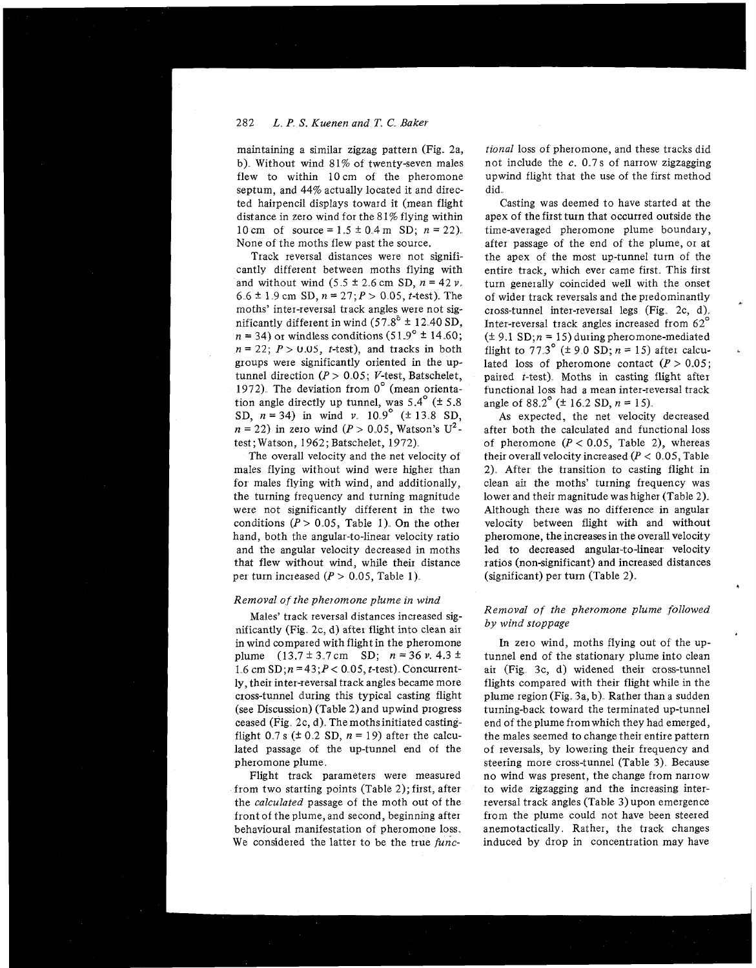## 282 *L.* P *S.* Kuenen and **T. C.** Baker

maintaining a similar zigzag pattern (Fig. 2a, b). Without wind 81% of twenty-seven males flew to within 10cm of the pheromone septum, and 44% actually located it and directed hairpencil displays toward it (mean flight distance in zero wind for the 8 1% flying within 10 cm of source =  $1.5 \pm 0.4$  m SD;  $n = 22$ ). None of the moths flew past the source.

Track reversal distances were not significantly different between moths flying with and without wind  $(5.5 \pm 2.6 \text{ cm SD}, n = 42 \nu$ . 6.6  $\pm$  1.9 cm SD,  $n = 27$ ;  $P > 0.05$ , t-test). The moths' inter-reversal track angles were not significantly different in wind  $(57.8^{\circ} \pm 12.40 \text{ SD},$  $n = 34$ ) or windless conditions (51.9°  $\pm$  14.60;  $n = 22$ ;  $P > 0.05$ , *t*-test), and tracks in both groups were significantly oriented in the uptunnel direction ( $P > 0.05$ ; V-test, Batschelet, 1972). The deviation from  $0^{\circ}$  (mean orientation angle directly up tunnel, was  $5.4^{\circ}$  ( $\pm 5.8$ ) SD,  $n = 34$ ) in wind v  $10.9^{\circ}$  ( $\pm 13.8$  SD,  $n = 22$ ) in zero wind ( $P > 0.05$ , Watson's U<sup>2</sup>test; Watson, 1962; Batschelet, 1972)

The overall velocity and the net velocity of males flying without wind were higher than for males flying with wind, and additionally, the turning frequency and turning magnitude were not significantly different in the two conditions ( $P > 0.05$ , Table 1). On the other hand, both the angular-to-linear velocity ratio and the angular velocity decreased in moths that flew without wind, while their distance per turn increased  $(P > 0.05,$  Table 1).

#### Removal of the pheromone plume in wind

Males' track reversal distances increased significantly (Fig. 2c, d) after flight into clean air in wind compared with flight in the pheromone plume  $(13.7 \pm 3.7 \text{ cm} \quad \text{SD}; \quad n = 36 \text{ v}. \quad 4.3 \pm$ 1.6 cm  $SD; n = 43; P < 0.05$ , t-test). Concurrently their inter-reversal track angles became more cross-tunnel during this typical casting flight (see Discussion) (Table 2) and upwind progress ceased (Fig. 2c, d). The moths initiated castingflight 0.7 s ( $\pm$  0.2 SD,  $n = 19$ ) after the calculated passage of the up-tunnel end of the pheromone plume,

Flight track parameters were measured from two starting points (Table 2); first, after the calculated passage of the moth out of the front of the plume, and second, beginning after behavioural manifestation of pheromone loss We considered the latter to be the true func-

tional loss of pheromone, and these tracks did not include the  $c$ . 0.7s of narrow zigzagging upwind flight that the use of the first method did

Casting was deemed to have started at the apex of the first turn that occurred outside the time-averaged pheromone plume boundary, after passage of the end of the plume, or at the apex of the most up-tunnel turn of the entire track, which ever came first. This first turn generally coincided well with the onset of wider track reversals and the predominantly <sup>+</sup> cross-tunnel inter-reversal legs (Fig. 2c, d). Inter-reversal track angles increased from 62"  $(\pm 9.1 \text{ SD}; n = 15)$  during pheromone-mediated flight to 77.3° ( $\pm$  9.0 SD; n = 15) after calculated loss of pheromone contact  $(P > 0.05)$ ; paiied t-test). Moths in casting flight after functional loss had a mean inter-reversal track angle of 88.2° ( $\pm$  16.2 SD, n = 15).

As expected, the net velocity decreased after both the calculated and functional loss of pheromone  $(P < 0.05$ , Table 2), whereas their overall velocity increased  $(P < 0.05$ , Table 2) After the transition to casting flight in clean air the moths' turning frequency was lower and their magnitude was higher (Table 2). Although there was no difference in angular velocity between flight with and without pheromone, the increases in the overall velocity led to decreased angular-to-linear velocity ratios (non-significant) and increased distances (significant) per turn (Table 2).

## Removal of the pheromone plume followed by wind stoppage

**4** 

In zero wind, moths flying out of the uptunnel end of the stationary plume into clean air (Fig. 3c, d) widened their cross-tunnel flights compared with their flight while in the plume region (Fig. 3a, b). Rather than a sudden turning-back toward the terminated up-tunnel end of the plume from which they had emerged, the males seemed to change their entire pattern of reversals, by lowering their frequency and steering more cross-tunnel (Table 3). Because no wind was present, the change from nanow to wide zigzagging and the increasing interreversal track angles (Table **3)** upon emergence from the plume could not have been steered anemotactically Rather, the track changes induced by drop in concentration may have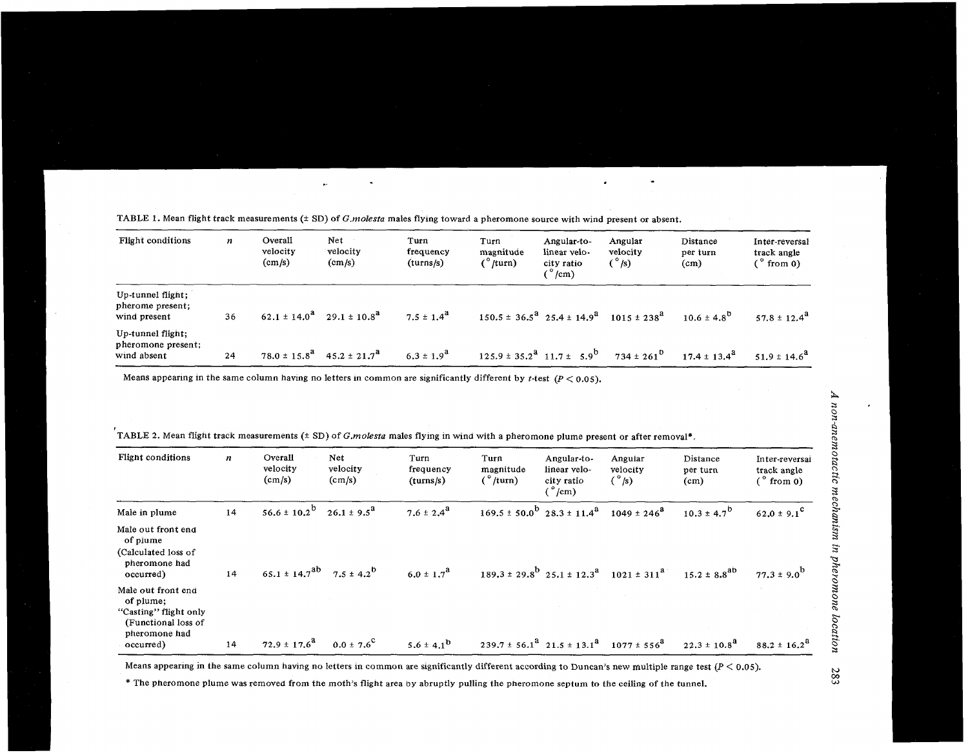| Flight conditions                                      | n  | Overall<br>velocity<br>$\text{(cm/s)}$ | Net<br>velocity<br>$\text{(cm/s)}$ | Turn<br>frequency<br>(turns/s) | Turn<br>magnitude<br>(°/turn)                         | Angular-to-<br>linear velo-<br>city ratio<br>$\degree$ /cm) | Angular<br>velocity<br>$(\degree$ /s) | Distance<br>per turn<br>(c <sub>m</sub> ) | Inter-reversal<br>track angle<br>$(°$ from 0) |
|--------------------------------------------------------|----|----------------------------------------|------------------------------------|--------------------------------|-------------------------------------------------------|-------------------------------------------------------------|---------------------------------------|-------------------------------------------|-----------------------------------------------|
| Up-tunnel flight;<br>pherome present:<br>wind present  | 36 | $62.1 \pm 14.0^{\mathrm{a}}$           | $29.1 \pm 10.8^2$                  | $7.5 \pm 1.4^{\circ}$          |                                                       | $150.5 \pm 36.5^{\text{a}}$ $25.4 \pm 14.9^{\text{a}}$      | $1015 \pm 238^2$                      | $10.6 \pm 4.8^{b}$                        | $57.8 \pm 12.4^{\circ}$                       |
| Up-tunnel flight;<br>pheromone present;<br>wind absent | 24 | $78.0 \pm 15.8^{\rm d}$                | $45.2 \pm 21.7^{\circ}$            | $6.3 \pm 1.9^d$                | $125.9 \pm 35.2^{\text{a}}$ $11.7 \pm 5.9^{\text{b}}$ |                                                             | $734 \pm 261^{\circ}$                 | $17.4 \pm 13.4^{\circ}$                   | $51.9 \pm 14.6^{\circ}$                       |

Means appearing in the same column having no letters in common are significantly different by  $t$ -test  $(P < 0.05)$ .

| Flight conditions                                                                                             | n  | Overall<br>velocity<br>(cm/s)                            | <b>Net</b><br>velocity<br>(cm/s) | Turn<br>frequency<br>(tums/s) | Turn<br>magnitude<br>(°/turn) | Angular-to-<br>linear velo-<br>city ratio<br>$\binom{^{\circ}}{cm}$               | Angular<br>velocity<br>$\binom{°}{ }$                                   | Distance<br>per turn<br>(cm) | Inter-reversal<br>track angle<br>$($ $\degree$ from 0) |
|---------------------------------------------------------------------------------------------------------------|----|----------------------------------------------------------|----------------------------------|-------------------------------|-------------------------------|-----------------------------------------------------------------------------------|-------------------------------------------------------------------------|------------------------------|--------------------------------------------------------|
| Male in plume                                                                                                 | 14 | $56.6 \pm 10.2^b$                                        | $26.1 \pm 9.5^{\circ}$           | $7.6 \pm 2.4^{\circ}$         |                               | $169.5 \pm 50.0^{\rm b}$ 28.3 $\pm$ 11.4 <sup>a</sup> 1049 $\pm$ 246 <sup>a</sup> |                                                                         | $10.3 \pm 4.7^{b}$           | $62.0 \pm 9.1^{\circ}$                                 |
| Male out front end<br>of plume<br>(Calculated loss of<br>pheromone had<br>occurred)                           | 14 | $65.1 \pm 14.7$ <sup>ab</sup> $7.5 \pm 4.2$ <sup>b</sup> |                                  | $6.0 \pm 1.7^{a}$             |                               |                                                                                   | $189.3 \pm 29.8^{\circ}$ $25.1 \pm 12.3^{\circ}$ $1021 \pm 311^{\circ}$ | $15.2 \pm 8.8^{ab}$          | $77.3 \pm 9.0^{b}$                                     |
| Male out front end<br>of plume;<br>"Casting" flight only<br>(Functional loss of<br>pheromone had<br>occurred) | 14 | $72.9 \pm 17.6^{\text{a}}$                               | $0.0 \pm 7.6^{\circ}$            | $5.6 \pm 4.1^{b}$             |                               | $239.7 \pm 56.1^{\text{a}} 21.5 \pm 13.1^{\text{a}} 1077 \pm 556^{\text{a}}$      |                                                                         | $22.3 \pm 10.8^{\circ}$      | $88.2 \pm 16.2^{\circ}$                                |

,<br>TABLE 2. Mean flight track measurements (± SD) of *G.molesta* males flying in wind with a pheromone plume present or after removal\*.

Means appearing in the same column having no letters in common are significantly different according to Duncan's new multiple range test  $(P < 0.05)$ .

\* The pneromone plume was removed from the moth's flight area **by** abruptly pulling the pheromone septum to the ceiling of the tunnel.

283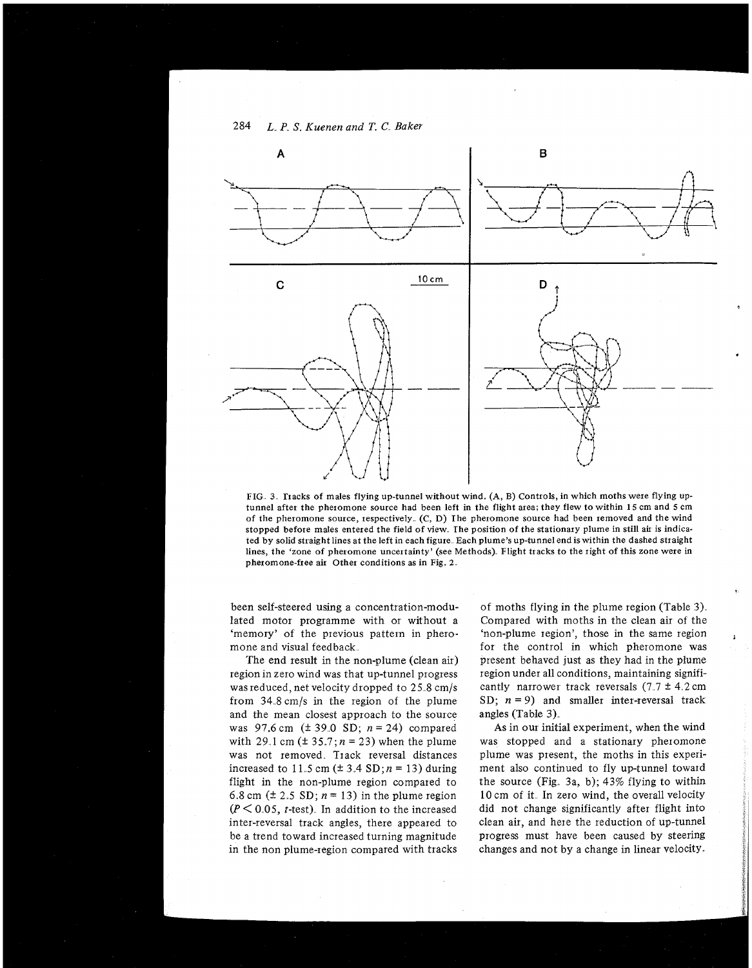

FIG **3** rracks of males flying up-tunnel without wind. **(A,** B) Controls, in which moths were flying uptunnel after the pheromone source had been left in the flight area; they flew to within 15 cm and 5 cm of the pheromone source, respectively (C, D) The pheromone source had been removed and the wind stopped before males entered the field of view. The position of the stationary plume in still air is indicated by solid straight lines at the left in each figure Each plume's up-tunnel end is within the dashed straight lines, the 'zone of pheromone uncertainty' (see Methods) Flight tracks to the right of this zone were in pheromone-free air Other conditions as in Fig. **2** 

been self-steered using a concentration-modulated motor programme with or without a 'memory' of the previous pattern in pheromone and visual feedback

The end result in the non-plume (clean air) regionin zero wind was that up-tunnel progress was reduced, net velocity dropped to 25.8 cm/s from 34 8 cm/s in the region of the plume and the mean closest approach to the source was 97.6 cm  $(\pm 39.0 \text{ SD}; n = 24)$  compared with 29.1 cm  $(\pm 35.7; n = 23)$  when the plume was not removed. Track reversal distances increased to 11.5 cm  $(\pm 3.4 \text{ SD}; n = 13)$  during flight in the non-plume region compated to 6.8 cm  $(\pm 2.5 \text{ SD}; n = 13)$  in the plume region  $(P < 0.05$ , *t*-test). In addition to the increased inter-reversal track angles, there appeared to be a trend toward increased turning magnitude in the non plume-region compared with tracks

of moths flying in the plume region (Table 3) Compared with moths in the clean air of the 'non-plume region', those in the same region for the control in which pheromone was present behaved just as they had in the plume region under all conditions, maintaining significantly narrower track reversals  $(7.7 \pm 4.2 \text{ cm})$ SD;  $n = 9$ ) and smaller inter-reversal track angles (Table **3)** 

As in our initial experiment, when the wind was stopped and a stationary pheromone plume was present, the moths in this experiment also continued to fly up-tunnel toward the source (Fig. 3a, b);  $43\%$  flying to within 10 cm of it. In zero wind, the overall velocity did not change significantly after flight into clean air, and here the reduction of up-tunnel progress must have been caused by steering changes and not by a change in linear velocity

284 *L,,* **P,,** S" *Kuenen and T.* C.. *Baker*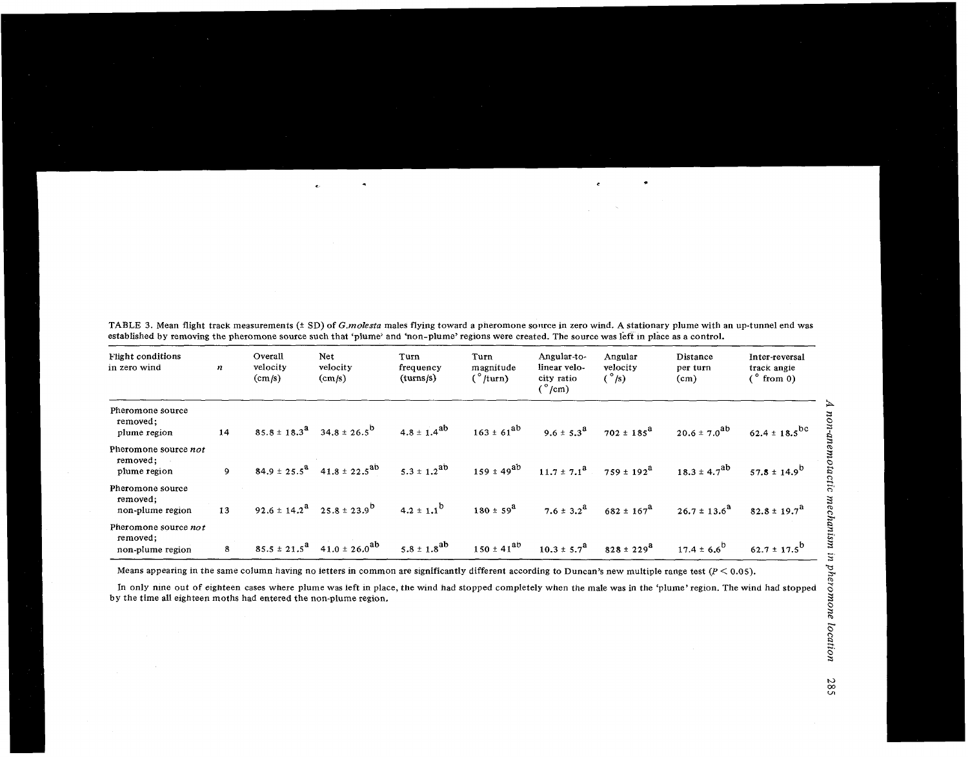| Flight conditions<br>in zero wind                    | n  | Overall<br>velocity<br>(cm/s) | Net<br>velocity<br>(cm/s)                              | Turn<br>frequency<br>(turns/s) | Turn<br>magnitude<br>$\binom{°}{\text{turn}}$ | Angular-to-<br>linear velo-<br>city ratio<br>$\binom{°}{cm}$ | Angular<br>velocity<br>(°/s) | Distance<br>per turn<br>(cm) | Inter-reversal<br>track angle<br>(° from 0) |
|------------------------------------------------------|----|-------------------------------|--------------------------------------------------------|--------------------------------|-----------------------------------------------|--------------------------------------------------------------|------------------------------|------------------------------|---------------------------------------------|
| Pheromone source<br>removed;<br>plume region         | 14 |                               | $85.8 \pm 18.3^{\circ}$ 34.8 $\pm 26.5^{\circ}$        | $4.8 \pm 1.4^{ab}$             | $163 \pm 61^{ab}$                             | $9.6 \pm 5.3^{\text{a}}$                                     | $702 \pm 185^{\circ}$        | $20.6 \pm 7.0^{ab}$          | $62.4 \pm 18.5$ <sup>bc</sup>               |
| Pheromone source not<br>removed;<br>plume region     | 9  |                               | $84.9 \pm 25.5^{\text{a}}$ $41.8 \pm 22.5^{\text{ab}}$ | $5.3 \pm 1.2^{ab}$             | $159 \pm 49^{ab}$                             | $11.7 \pm 7.1^{\text{a}}$                                    | $759 \pm 192^{\rm a}$        | $18.3 \pm 4.7^{ab}$          | $57.8 \pm 14.9^{b}$                         |
| Pheromone source<br>removed;<br>non-plume region     | 13 |                               | $92.6 \pm 14.2^{\text{a}}$ $25.8 \pm 23.9^{\text{b}}$  | $4.2 \pm 1.1^{b}$              | $180 \pm 59^{\circ}$                          | $7.6 \pm 3.2^{\text{a}}$                                     | $682 \pm 167^{\rm a}$        | $26.7 \pm 13.6^{\circ}$      | $82.8 \pm 19.7^{\circ}$                     |
| Pheromone source not<br>removed;<br>non-plume region | 8  |                               | $85.5 \pm 21.5^a$ 41.0 ± 26.0 <sup>ab</sup>            | $5.8 \pm 1.8$ <sup>ab</sup>    | $150 \pm 41^{ab}$                             | $10.3 \pm 5.7^{\text{a}}$                                    | $828 \pm 229^{\rm a}$        | $17.4 \pm 6.6^{b}$           | 62.7 $\pm$ 17.5 <sup>b</sup>                |

TABLE 3. Mean flight track measurements (± SD) of *G.molesta* males flying toward a pheromone source in zero wind. A stationary plume with an up-tunnel end was established by removing the pheromone source such that 'plume' and 'non-plume'regions were created. The source was left in place as a control.

 $\tilde{\phantom{a}}$ 

 $\bullet$ 

 $\bullet$ 

Means appearing in the same column having no letters in common are significantly different according to Duncan's new multiple range test  $(P < 0.05)$ .

In only nine out of eighteen cases where plume was left in place, the wind had stopped completely when the male was in the 'plume' region. The wind had stopped by the time all eighteen moths had entered the non-plume region. **3** 

285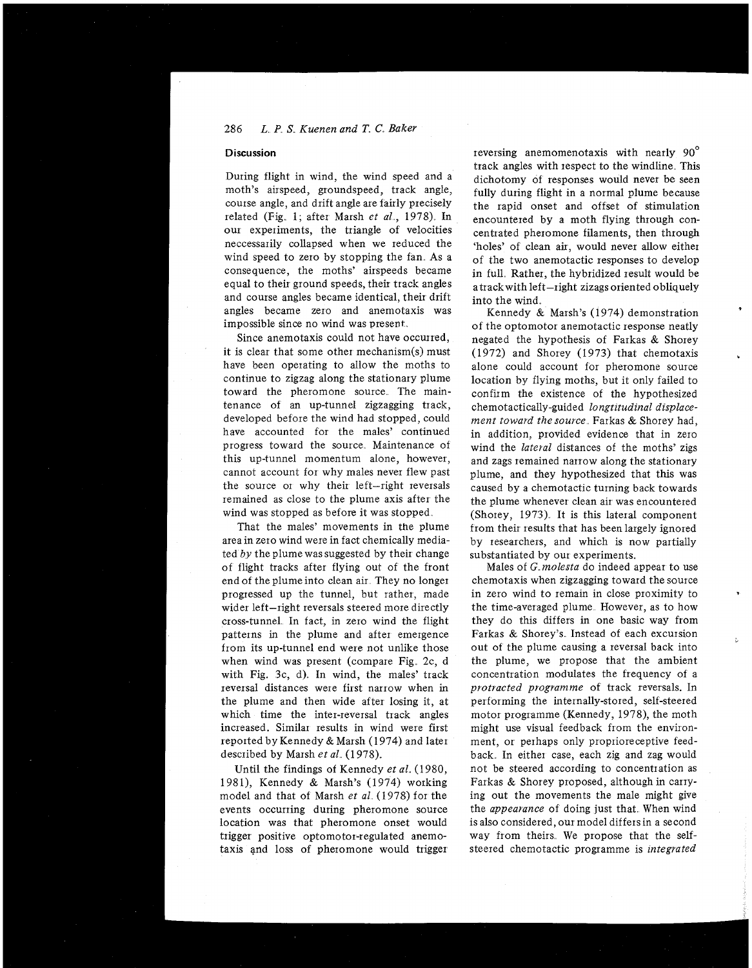#### 286 L. P. S. Kuenen and T. C. Baker

## **Discussion**

During flight in wind, the wind speed and a moth's airspeed, groundspeed, track angle, course angle, and drift angle are fairly precisely related (Fig. 1; after Marsh *et al.*, 1978). In our experiments, the triangle of velocities neccessarily collapsed when we reduced the wind speed to zero by stopping the fan. As a consequence, the moths' airspeeds became equal to their ground speeds, their track angles and course angles became identical, their drift angles became zero and anemotaxis was impossible since no wind was present

Since anemotaxis could not have occurred, it is clear that some other mechanism(s) must have been operating to allow the moths to continue to zigzag along the stationary plume toward the pheromone source. The maintenance of an up-tunnel zigzagging track, developed before the wind had stopped, could have accounted for the males' continued progress toward the source Maintenance of this up-tunnel momentum alone, however, cannot account for why males never flew past the source or why their left-right reversals remained as close to the plume axis after the wind was stopped as before it was stopped

That the males' movements in the plume area in zero wind were in fact chemically mediated by the plume was suggested by their change of flight tracks after flying out of the front end of the plume into clean air They no longer progressed up the tunnel, but rather, made wider left-right reversals steered more directly cioss-tunnel In fact, in zero wind the flight patterns in the plume and after emergence from its up-tunnel end were not unlike those when wind was present (compare Fig. 2c, d with Fig. 3c, d). In wind, the males' track reversal distances were first narrow when in the plume and then wide after losing it, at which time the inter-reversal track angles increased. Similar results in wind were first reported by Kennedy & Marsh (1974) and later described by Marsh *et al.* (1978).

Until the findings of Kennedy *et a1* (1980, 1981), Kennedy & Marsh's (1974) working model and that of Marsh et al. (1978) for the events occurring during pheromone source location was that pheromone onset would tiigger positive optomotoi-regulated anemotaxis and loss of pheromone would trigger

reversing anemomenotaxis with nearly 90' track angles with respect to the windline. This dichotomy of responses would never be seen fully during flight in a normal plume because the rapid onset and offset of stimulation encountered by a moth flying through concentrated pheromone filaments, then through 'holes' of clean air, would never allow either of the two anemotactic responses to develop in full. Rather, the hybridized result would be atrackwith left-right zizags oriented obliquely into the wind

Kennedy & Marsh's (1974) demonstration of the optomotor anemotactic response neatly negated the hypothesis of Farkas & Shorey (1972) and Shorey (1973) that chemotaxis alone could account for pheromone source location by flying moths, but it only failed to confirm the existence of the hypothesized chemotactically-guided *longtitudinal displacement toward thesource* Farkas & Shorey had, in addition, provided evidence that in zero wind the *lateral* distances of the moths' zigs and zags remained narrow along the stationary plume, and they hypothesized that this was caused by a chemotactic turning back towards the plume whenever clean air was encountered (Shorey, 1973). It is this lateral component from their results that has been largely ignored by researchers, and which is now partially substantiated by our experiments.

Males of G *molesta* do indeed appear to use chemotaxis when zigzagging toward the source in zero wind to remain in close proximity to the time-averaged plume. However, as to how they do this differs in one basic way from Farkas & Shorey's. Instead of each excursion out of the plume causing a reversal back into the plume, we propose that the ambient concentration modulates the frequency of a *protracted programme* of track reversals. In performing the internally-stored, self-steered motor programme (Kennedy, 1978), the moth might use visual feedback from the environment, or perhaps only proprioreceptive feedback In either case, each zig and zag would not be steered according to concentration as Farkas & Shorey proposed, although in carrying out the movements the male might give the *appearance* of doing just that. When wind is also considered, our model differsin a second way from theirs We propose that the selfsteered chemotactic programme is *integrated*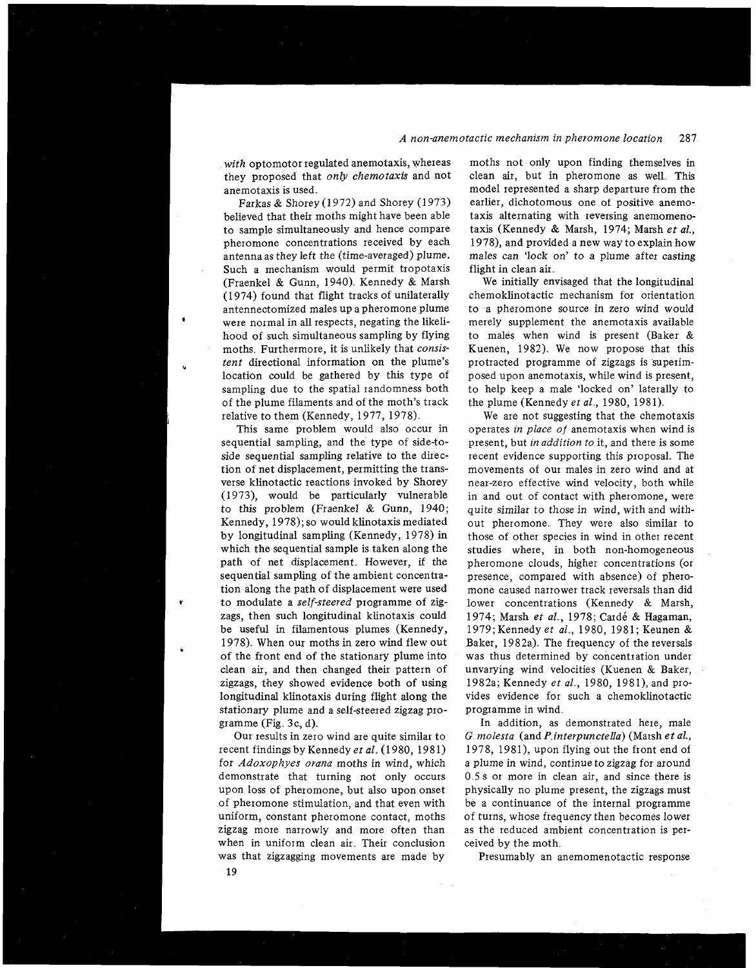#### *?tactic mechanism in pheromone location* 287

*with* optomotor regulated anemotaxis, whereas they proposed that *only chemotaxis* and not anemotaxis is used.

Farkas & Shorey (1972) and Shorey (1973) believed that their moths might have been able to sample simultaneously and hence compare pheromone concentrations received by each antenna as they left the (time-averaged) plume. Such a mechanism would permit tropotaxis (Fraenkel & Gunn, 1940) Kennedy & Marsh (1974) found that flight tracks of unilaterally antennectomized males up a pheromone plume were normal in all respects, negating the likelihood of such simultaneous sampling by flying moths Furthermore, it is unlikely that *consis*  tent directional information on the plume's location could be gathered by this type of sampling due to the spatial randomness both of the plume filaments and of the moth's track relative to them (Kennedy, 1977, 1978),

This same problem would also occur in sequential sampling, and the type of side-toside sequential sampling relative to the direction of net displacement, permitting the transverse klinotactic reactions invoked by Shorey (1973), would be particularly vulnerable to this problem (Fraenkel & Gunn, 1940; Kennedy, 1978); so would klinotaxis mediated by longitudinal sampling (Kennedy, 1978) in which the sequential sample is taken along the path of net displacement. However, if the sequential sampling of the ambient concentration along the path of displacement were used **r** to modulate a *self-steered* programme of zigzags, then such longitudinal klinotaxis could be useful in filamentous plumes (Kennedy, 1978). When our moths in zero wind flew out of the front end of the stationary plume into clean air, and then changed their pattern of zigzags, they showed evidence both of using longitudinal klinotaxis during flight along the stationary plume and a self-steered zigzag programme (Fig.  $3c, d$ ).

Our results in zero wind are quite similar to recent findings by Kennedy *et a1* (1980, 1981) for *Adoxophyes orana* moths in wind, which demonstrate that turning not only occurs upon loss of pheromone, but also upon onset of pheromone stimulation, and that even with uniform, constant pheromone contact, moths zigzag more narrowly and more often than when in uniform clean air. Their conclusion was that zigzagging movements are made by

moths not only upon finding themselves in clean air, but in pheromone as well. This model represented a sharp departure from the earlier, dichotomous one of positive anemotaxis alternating with reversing anemomenotaxis (Kennedy & Marsh, 1974; Marsh *et al.,*  1978), and provided a new way to explain how males can 'lock on' to a plume after casting flight in clean air.

We initially envisaged that the longitudinal chemoklinotactic mechanism for orientation to a pheromone source in zero wind would merely supplement the anemotaxis available to males when wind is present (Baker & Kuenen, 1982). We now propose that this protracted programme of zigzags is superimposed upon anemotaxis, while wind is present, to help keep a male 'locked on' laterally to the plume (Kennedy *et al,* 1980, 1981)

We are not suggesting that the chemotaxis operates *in place of* anemotaxis when wind is present, but *in addition to* it, and there is some recent evidence supporting this proposal. The movements of our males in zero wind and at near-zero effective wind velocity, both while in and out of contact with pheromone, were quite similar to those in wind, with and without pheromone, They were also similar to those of other species in wind in other recent studies where, in both non-homogeneous pheromone clouds, higher concentrations (or presence, compared with absence) of pheromone caused narrower track reversals than did lower concentrations (Kennedy & Marsh, 1974; Marsh et al., 1978; Cardé & Hagaman, 1979;Kennedy *et al,* 1980, 1981; Keunen & Baker, 1982a). The frequency of the reversals was thus determined by concentration under unvarying wind velocities (Kuenen & Baker, 1982a; Kennedy *et a!.,* 1980, 1981), and provides evidence for such a chemoklinotactic programme in wind

In addition, as demonstrated here, male G *molesta* (and *P interpunctella*) (Marsh *et al.*, 1978, 1981), upon flying out the front end of a plume in wind, continue to zigzag for around 0 5 s or more in clean air, and since there is physically no plume present, the zigzags must be a continuance of the internal programme of turns, whose frequency then becomes lower as the reduced ambient concentration is perceived by the moth,

Presumably an anemomenotactic response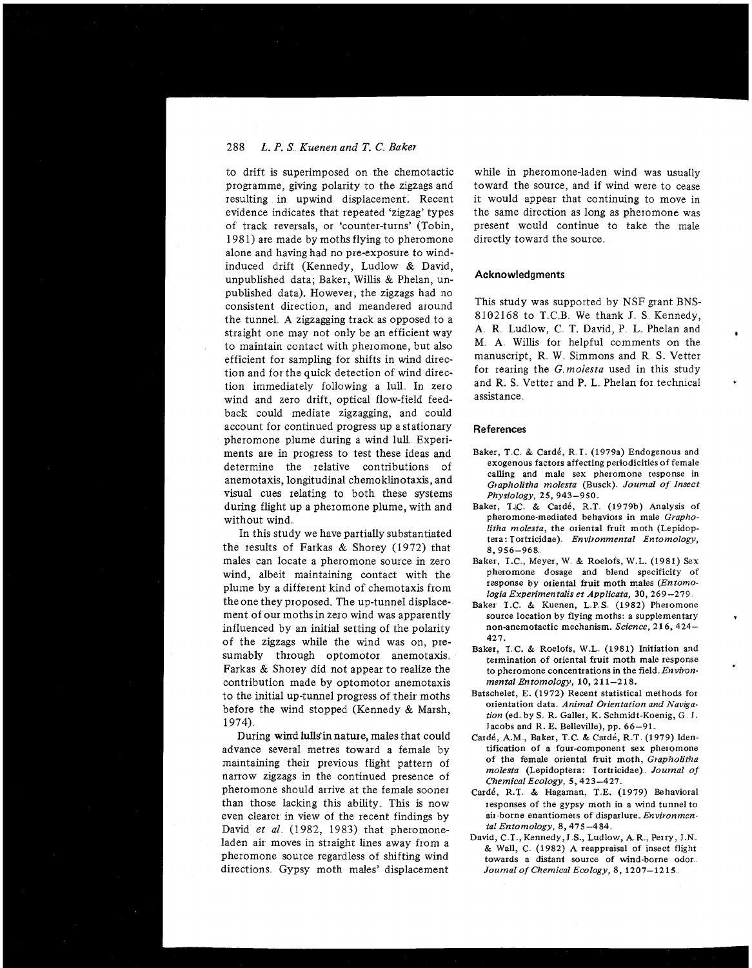## 288 *L. P. S Kuenen and T.* **C.** *Baker*

to drift is superimposed on the chemotactic programme, giving polarity to the zigzags and resulting in upwind displacement. Recent evidence indicates that repeated 'zigzag' types of track reversals, or 'counter-turns' (Tobin, 1981) are made by moths flying to pheromone alone and having had no pre-exposure to windinduced drift (Kennedy, Ludlow & David, unpublished data; Baker, Willis & Phelan, unpublished data). However, the zigzags had no consistent direction, and meandered around the tunnel A zigzagging track as opposed to a straight one may not only be an efficient way to maintain contact with pheromone, but also efficient for sampling for shifts in wind direction and for the quick detection of wind direction immediately following a lull In zero wind and zero drift, optical flow-field feedback could mediate zigzagging, and could account for continued progress up a stationary pheromone plume during a wind lull. Experiments axe in progress to test these ideas and determine the relative contributions of anemotaxis, longitudinal chemoklinotaxis, and visual cues relating to both these systems during flight up a pheromone plume, with and without wind

In this study we have partially substantiated the results of Farkas & Shorey (1972) that males can locate a pheromone source in zero wind, albeit maintaining contact with the plume by a different kind of chemotaxis from the one they proposed. The up-tunnel displacement of our mothsin zero wind was apparently influenced by an initial setting of the polarity of the zigzags while the wind was on, presumably through optomotor anemotaxis. Farkas & Shorey did not appear to realize the contribution made by optomotor anemotaxis to the initial up-tunnel progress of their moths before the wind stopped (Kennedy & Marsh, 1974)

During wind lulls'in nature, males that could advance several metres toward a female by maintaining their previous flight pattern of narrow zigzags in the continued presence of pheromone should arrive at the female sooner than those lacking this ability. This is now even clearer in view of the recent findings by David *et al.* (1982, 1983) that pheromoneladen air moves in straight lines away from a pheromone source regardless of shifting wind directions Gypsy moth males' displacement

while in pheromone-laden wind was usually toward the source, and if wind were to cease it would appear that continuing to move in the same direction as long as pheromone was present would continue to take the male directly toward the source.

#### **Acknowledgments**

This study was supported by NSF grant BNS-8102168 to T.C.B. We thank J. S. Kennedy, A. R. Ludlow, C. T. David, P. L. Phelan and M A Willis for helpful comments on the manuscript, R. W. Simmons and R. S. Vetter for rearing the  $G$  molesta used in this study and R. S. Vetter and P. L. Phelan for technical assistance

#### **References**

- Baker, T.C. & Cardé, R.I. (1979a) Endogenous and exogenous factors affecting periodicities of female calling and male sex pheromone response in *Grapholztha molesta* (Busck) *Journal of Insect Physiology,* 25, 943-950.
- Baker, T.C. & Cardé, R.T. (1979b) Analysis of pheromone-mediated behaviors in male *Grapholitha molesta,* the oriental fruit moth (Lepidoptera: Tortricidae) *Environmental Entomology,*  8,956-968
- Baker, I.C, Meyer, W & Roelofs, W.L. (1981) Sex pheromone dosage and blend specificity of response by oriental fruit moth males *(Entomologin Experimentahs et Applicata,* 30,269 -279
- Baker T.C. & Kuenen, L.P.S. (1982) Pheromone source location by flying moths: a supplementary non-anemotactic mechanism. *Science. 2* 16, 424- 427.
- Baker, I.C. & Roelofs, W.L. (1981) Initiation and termination of oriental fruit moth male response to pheromone concentrations in the field *Environmental Entomology,* 10, 211-218.
- Batschelet, E. (1972) Recent statistical methods for orientation data. Animal Orientation and Naviga*tion* (ed. by S. R. Galler, K. Schmidt-Koenig, G. J. Jacobs and R. E. Belleville), pp. 66-91.
- Cardé, A.M., Baker, T.C. & Cardé, R.T. (1979) Identification of a four-component sex pheromone of the female oriental fruit moth, *Grapholitha molesta* (Lepidoptera: Iortricidae) *Journal of Chemical Ecology,* 5,423-427.
- card6, R.T & Hagaman, T E. (1979) Behavioral iesponses of the gypsy moth in a wind tunnel to air-borne enantiomers of disparlure *Environmental Entomology,* 8,475 -484
- David, C.T., Kennedy, J.S., Ludlow, A.R., Perry, J.N. & Wall, C (1982) A reappraisal of insect flight towards a distant source of wind-borne odor *Journal of Chemical Ecology,* 8, 1207-1215